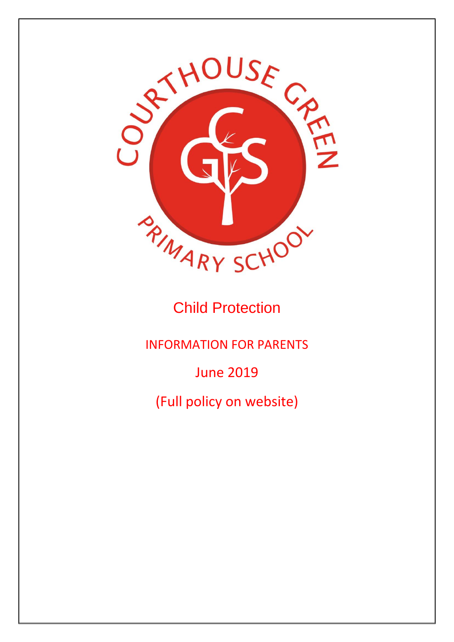

# Child Protection

INFORMATION FOR PARENTS

June 2019

(Full policy on website)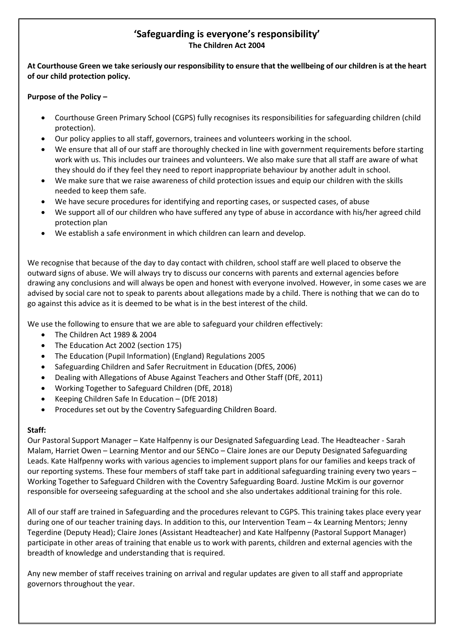## **'Safeguarding is everyone's responsibility' The Children Act 2004**

#### **At Courthouse Green we take seriously our responsibility to ensure that the wellbeing of our children is at the heart of our child protection policy.**

#### **Purpose of the Policy –**

- Courthouse Green Primary School (CGPS) fully recognises its responsibilities for safeguarding children (child protection).
- Our policy applies to all staff, governors, trainees and volunteers working in the school.
- We ensure that all of our staff are thoroughly checked in line with government requirements before starting work with us. This includes our trainees and volunteers. We also make sure that all staff are aware of what they should do if they feel they need to report inappropriate behaviour by another adult in school.
- We make sure that we raise awareness of child protection issues and equip our children with the skills needed to keep them safe.
- We have secure procedures for identifying and reporting cases, or suspected cases, of abuse
- We support all of our children who have suffered any type of abuse in accordance with his/her agreed child protection plan
- We establish a safe environment in which children can learn and develop.

We recognise that because of the day to day contact with children, school staff are well placed to observe the outward signs of abuse. We will always try to discuss our concerns with parents and external agencies before drawing any conclusions and will always be open and honest with everyone involved. However, in some cases we are advised by social care not to speak to parents about allegations made by a child. There is nothing that we can do to go against this advice as it is deemed to be what is in the best interest of the child.

We use the following to ensure that we are able to safeguard your children effectively:

- The Children Act 1989 & 2004
- The Education Act 2002 (section 175)
- The Education (Pupil Information) (England) Regulations 2005
- Safeguarding Children and Safer Recruitment in Education (DfES, 2006)
- Dealing with Allegations of Abuse Against Teachers and Other Staff (DfE, 2011)
- Working Together to Safeguard Children (DfE, 2018)
- Keeping Children Safe In Education (DfE 2018)
- Procedures set out by the Coventry Safeguarding Children Board.

#### **Staff:**

Our Pastoral Support Manager – Kate Halfpenny is our Designated Safeguarding Lead. The Headteacher - Sarah Malam, Harriet Owen – Learning Mentor and our SENCo – Claire Jones are our Deputy Designated Safeguarding Leads. Kate Halfpenny works with various agencies to implement support plans for our families and keeps track of our reporting systems. These four members of staff take part in additional safeguarding training every two years – Working Together to Safeguard Children with the Coventry Safeguarding Board. Justine McKim is our governor responsible for overseeing safeguarding at the school and she also undertakes additional training for this role.

All of our staff are trained in Safeguarding and the procedures relevant to CGPS. This training takes place every year during one of our teacher training days. In addition to this, our Intervention Team – 4x Learning Mentors; Jenny Tegerdine (Deputy Head); Claire Jones (Assistant Headteacher) and Kate Halfpenny (Pastoral Support Manager) participate in other areas of training that enable us to work with parents, children and external agencies with the breadth of knowledge and understanding that is required.

Any new member of staff receives training on arrival and regular updates are given to all staff and appropriate governors throughout the year.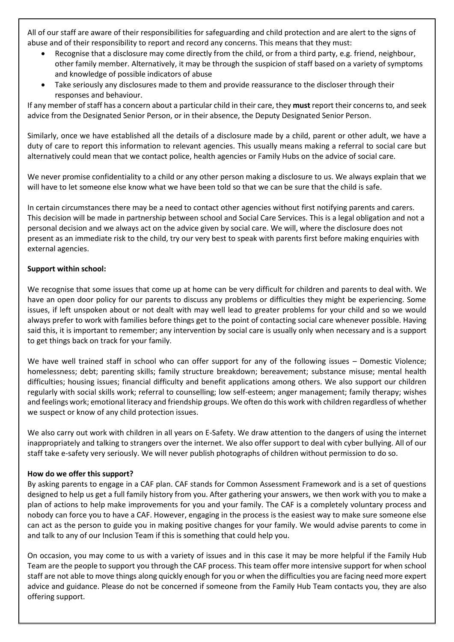All of our staff are aware of their responsibilities for safeguarding and child protection and are alert to the signs of abuse and of their responsibility to report and record any concerns. This means that they must:

- Recognise that a disclosure may come directly from the child, or from a third party, e.g. friend, neighbour, other family member. Alternatively, it may be through the suspicion of staff based on a variety of symptoms and knowledge of possible indicators of abuse
- Take seriously any disclosures made to them and provide reassurance to the discloser through their responses and behaviour.

If any member of staff has a concern about a particular child in their care, they **must** report their concerns to, and seek advice from the Designated Senior Person, or in their absence, the Deputy Designated Senior Person.

Similarly, once we have established all the details of a disclosure made by a child, parent or other adult, we have a duty of care to report this information to relevant agencies. This usually means making a referral to social care but alternatively could mean that we contact police, health agencies or Family Hubs on the advice of social care.

We never promise confidentiality to a child or any other person making a disclosure to us. We always explain that we will have to let someone else know what we have been told so that we can be sure that the child is safe.

In certain circumstances there may be a need to contact other agencies without first notifying parents and carers. This decision will be made in partnership between school and Social Care Services. This is a legal obligation and not a personal decision and we always act on the advice given by social care. We will, where the disclosure does not present as an immediate risk to the child, try our very best to speak with parents first before making enquiries with external agencies.

#### **Support within school:**

We recognise that some issues that come up at home can be very difficult for children and parents to deal with. We have an open door policy for our parents to discuss any problems or difficulties they might be experiencing. Some issues, if left unspoken about or not dealt with may well lead to greater problems for your child and so we would always prefer to work with families before things get to the point of contacting social care whenever possible. Having said this, it is important to remember; any intervention by social care is usually only when necessary and is a support to get things back on track for your family.

We have well trained staff in school who can offer support for any of the following issues – Domestic Violence; homelessness; debt; parenting skills; family structure breakdown; bereavement; substance misuse; mental health difficulties; housing issues; financial difficulty and benefit applications among others. We also support our children regularly with social skills work; referral to counselling; low self-esteem; anger management; family therapy; wishes and feelings work; emotional literacy and friendship groups. We often do this work with children regardless of whether we suspect or know of any child protection issues.

We also carry out work with children in all years on E-Safety. We draw attention to the dangers of using the internet inappropriately and talking to strangers over the internet. We also offer support to deal with cyber bullying. All of our staff take e-safety very seriously. We will never publish photographs of children without permission to do so.

#### **How do we offer this support?**

By asking parents to engage in a CAF plan. CAF stands for Common Assessment Framework and is a set of questions designed to help us get a full family history from you. After gathering your answers, we then work with you to make a plan of actions to help make improvements for you and your family. The CAF is a completely voluntary process and nobody can force you to have a CAF. However, engaging in the process is the easiest way to make sure someone else can act as the person to guide you in making positive changes for your family. We would advise parents to come in and talk to any of our Inclusion Team if this is something that could help you.

On occasion, you may come to us with a variety of issues and in this case it may be more helpful if the Family Hub Team are the people to support you through the CAF process. This team offer more intensive support for when school staff are not able to move things along quickly enough for you or when the difficulties you are facing need more expert advice and guidance. Please do not be concerned if someone from the Family Hub Team contacts you, they are also offering support.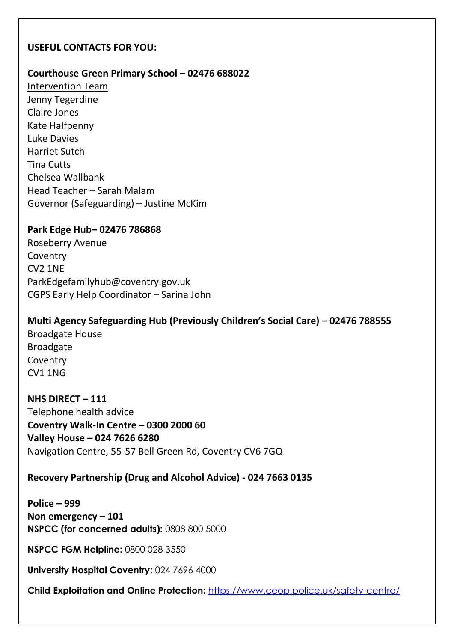## **USEFUL CONTACTS FOR YOU:**

### **Courthouse Green Primary School – 02476 688022**

Intervention Team Jenny Tegerdine Claire Jones Kate Halfpenny Luke Davies Harriet Sutch Tina Cutts Chelsea Wallbank Head Teacher – Sarah Malam Governor (Safeguarding) – Justine McKim

## **Park Edge Hub– 02476 786868**

Roseberry Avenue Coventry CV2 1NE ParkEdgefamilyhub@coventry.gov.uk CGPS Early Help Coordinator – Sarina John

**Multi Agency Safeguarding Hub (Previously Children's Social Care) – 02476 788555** Broadgate House Broadgate Coventry CV1 1NG

**NHS DIRECT – 111** Telephone health advice **Coventry Walk-In Centre – 0300 2000 60 Valley House – 024 7626 6280** Navigation Centre, 55-57 Bell Green Rd, Coventry CV6 7GQ

**Recovery Partnership (Drug and Alcohol Advice) - 024 7663 0135**

**Police – 999 Non emergency – 101 NSPCC (for concerned adults):** 0808 800 5000

**NSPCC FGM Helpline:** 0800 028 3550

**University Hospital Coventry:** 024 7696 4000

**Child Exploitation and Online Protection:** <https://www.ceop.police.uk/safety-centre/>